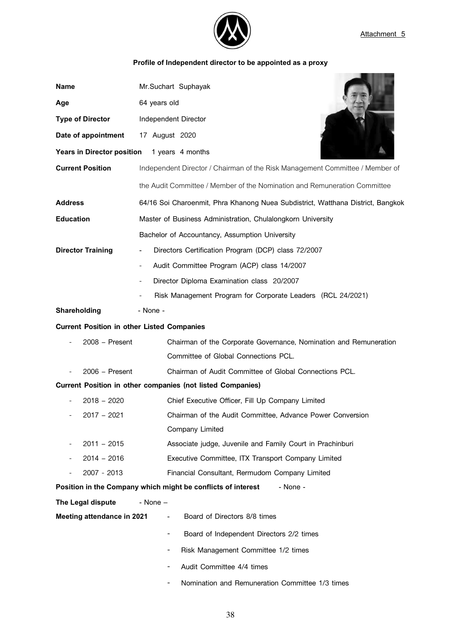

 $\blacksquare$  , and the set of  $\blacksquare$ 

## **Profile of Independent director to be appointed as a proxy**

| <b>Name</b>                                       | Mr.Suchart Suphayak                                                             |
|---------------------------------------------------|---------------------------------------------------------------------------------|
| Age                                               | 64 years old                                                                    |
| <b>Type of Director</b>                           | Independent Director                                                            |
| Date of appointment                               | 17 August 2020                                                                  |
| <b>Years in Director position</b>                 | 1 years 4 months                                                                |
| <b>Current Position</b>                           | Independent Director / Chairman of the Risk Management Committee / Member of    |
|                                                   | the Audit Committee / Member of the Nomination and Remuneration Committee       |
| <b>Address</b>                                    | 64/16 Soi Charoenmit, Phra Khanong Nuea Subdistrict, Watthana District, Bangkok |
| <b>Education</b>                                  | Master of Business Administration, Chulalongkorn University                     |
|                                                   | Bachelor of Accountancy, Assumption University                                  |
| <b>Director Training</b>                          | Directors Certification Program (DCP) class 72/2007<br>$\overline{\phantom{a}}$ |
|                                                   | Audit Committee Program (ACP) class 14/2007                                     |
|                                                   | Director Diploma Examination class 20/2007                                      |
|                                                   | Risk Management Program for Corporate Leaders (RCL 24/2021)                     |
| Shareholding                                      | - None -                                                                        |
| <b>Current Position in other Listed Companies</b> |                                                                                 |
| $2008 - Present$                                  | Chairman of the Corporate Governance, Nomination and Remuneration               |
|                                                   | Committee of Global Connections PCL.                                            |
| $2006 -$ Present                                  | Chairman of Audit Committee of Global Connections PCL.                          |
|                                                   | Current Position in other companies (not listed Companies)                      |
| $2018 - 2020$                                     | Chief Executive Officer, Fill Up Company Limited                                |
| $2017 - 2021$                                     | Chairman of the Audit Committee, Advance Power Conversion                       |
|                                                   | Company Limited                                                                 |
| $2011 - 2015$                                     | Associate judge, Juvenile and Family Court in Prachinburi                       |
| $2014 - 2016$                                     | Executive Committee, ITX Transport Company Limited                              |
| 2007 - 2013                                       | Financial Consultant, Rermudom Company Limited                                  |
|                                                   | Position in the Company which might be conflicts of interest<br>- None -        |
| The Legal dispute                                 | - None $-$                                                                      |
| <b>Meeting attendance in 2021</b>                 | Board of Directors 8/8 times<br>$\overline{\phantom{a}}$                        |
|                                                   | Board of Independent Directors 2/2 times<br>۰                                   |
|                                                   | Risk Management Committee 1/2 times<br>۰                                        |
|                                                   | Audit Committee 4/4 times                                                       |
|                                                   | Nomination and Remuneration Committee 1/3 times                                 |